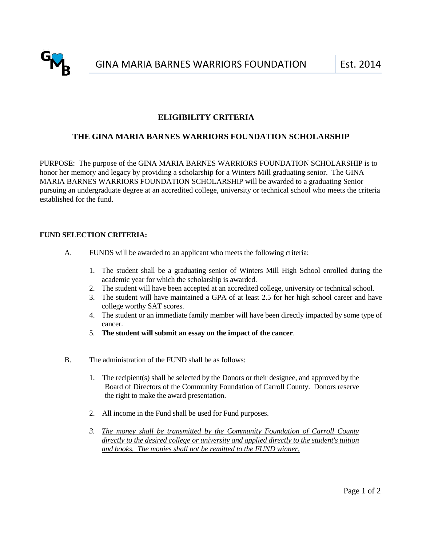

# **ELIGIBILITY CRITERIA**

## **THE GINA MARIA BARNES WARRIORS FOUNDATION SCHOLARSHIP**

PURPOSE: The purpose of the GINA MARIA BARNES WARRIORS FOUNDATION SCHOLARSHIP is to honor her memory and legacy by providing a scholarship for a Winters Mill graduating senior. The GINA MARIA BARNES WARRIORS FOUNDATION SCHOLARSHIP will be awarded to a graduating Senior pursuing an undergraduate degree at an accredited college, university or technical school who meets the criteria established for the fund.

### **FUND SELECTION CRITERIA:**

2014

- A. FUNDS will be awarded to an applicant who meets the following criteria:
	- 1. The student shall be a graduating senior of Winters Mill High School enrolled during the academic year for which the scholarship is awarded.
	- 2. The student will have been accepted at an accredited college, university or technical school.
	- 3. The student will have maintained a GPA of at least 2.5 for her high school career and have college worthy SAT scores.
	- 4. The student or an immediate family member will have been directly impacted by some type of cancer.
	- 5. **The student will submit an essay on the impact of the cancer**.
- B. The administration of the FUND shall be as follows:
	- 1. The recipient(s) shall be selected by the Donors or their designee, and approved by the Board of Directors of the Community Foundation of Carroll County. Donors reserve the right to make the award presentation.
	- 2. All income in the Fund shall be used for Fund purposes.
	- *3. The money shall be transmitted by the Community Foundation of Carroll County directly to the desired college or university and applied directly to the student's tuition and books. The monies shall not be remitted to the FUND winner.*